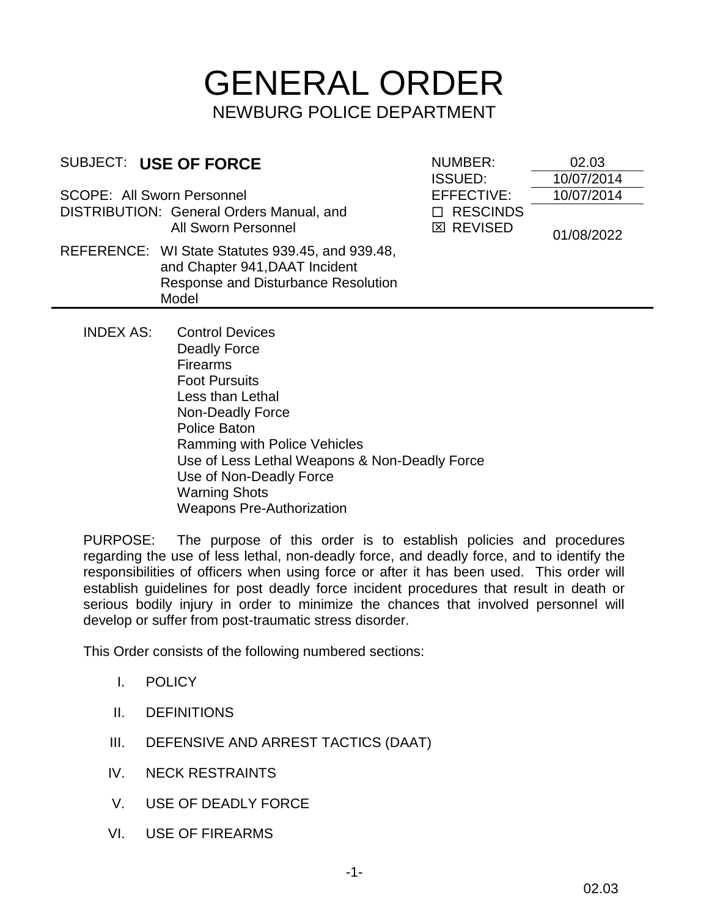# GENERAL ORDER NEWBURG POLICE DEPARTMENT

| SUBJECT: USE OF FORCE                                                  |                                                                                                                                    | NUMBER:                              | 02.03      |
|------------------------------------------------------------------------|------------------------------------------------------------------------------------------------------------------------------------|--------------------------------------|------------|
|                                                                        |                                                                                                                                    | <b>ISSUED:</b>                       | 10/07/2014 |
| <b>SCOPE: All Sworn Personnel</b>                                      |                                                                                                                                    | EFFECTIVE:                           | 10/07/2014 |
| DISTRIBUTION: General Orders Manual, and<br><b>All Sworn Personnel</b> |                                                                                                                                    | <b>RESCINDS</b><br><b>EX REVISED</b> | 01/08/2022 |
|                                                                        | REFERENCE: WI State Statutes 939.45, and 939.48,<br>and Chapter 941, DAAT Incident<br>Response and Disturbance Resolution<br>Model |                                      |            |
| <b>INDEX AS:</b>                                                       | <b>Control Devices</b><br>Deadly Force                                                                                             |                                      |            |

Deadly Force Firearms Foot Pursuits Less than Lethal Non-Deadly Force Police Baton Ramming with Police Vehicles Use of Less Lethal Weapons & Non-Deadly Force Use of Non-Deadly Force Warning Shots Weapons Pre-Authorization

PURPOSE: The purpose of this order is to establish policies and procedures regarding the use of less lethal, non-deadly force, and deadly force, and to identify the responsibilities of officers when using force or after it has been used. This order will establish guidelines for post deadly force incident procedures that result in death or serious bodily injury in order to minimize the chances that involved personnel will develop or suffer from post-traumatic stress disorder.

This Order consists of the following numbered sections:

- I. POLICY
- II. DEFINITIONS
- III. DEFENSIVE AND ARREST TACTICS (DAAT)
- IV. NECK RESTRAINTS
- V. USE OF DEADLY FORCE
- VI. USE OF FIREARMS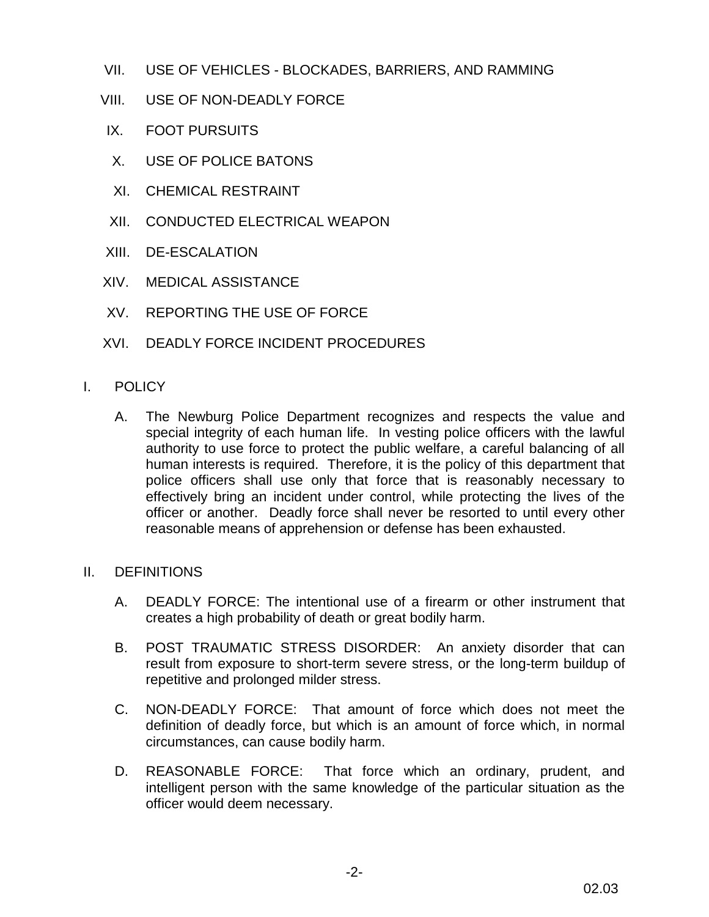- VII. USE OF VEHICLES BLOCKADES, BARRIERS, AND RAMMING
- VIII. USE OF NON-DEADLY FORCE
- IX. FOOT PURSUITS
- X. USE OF POLICE BATONS
- XI. CHEMICAL RESTRAINT
- XII. CONDUCTED ELECTRICAL WEAPON
- XIII. DE-ESCALATION
- XIV. MEDICAL ASSISTANCE
- XV. REPORTING THE USE OF FORCE
- XVI. DEADLY FORCE INCIDENT PROCEDURES
- I. POLICY
	- A. The Newburg Police Department recognizes and respects the value and special integrity of each human life. In vesting police officers with the lawful authority to use force to protect the public welfare, a careful balancing of all human interests is required. Therefore, it is the policy of this department that police officers shall use only that force that is reasonably necessary to effectively bring an incident under control, while protecting the lives of the officer or another. Deadly force shall never be resorted to until every other reasonable means of apprehension or defense has been exhausted.
- II. DEFINITIONS
	- A. DEADLY FORCE: The intentional use of a firearm or other instrument that creates a high probability of death or great bodily harm.
	- B. POST TRAUMATIC STRESS DISORDER: An anxiety disorder that can result from exposure to short-term severe stress, or the long-term buildup of repetitive and prolonged milder stress.
	- C. NON-DEADLY FORCE: That amount of force which does not meet the definition of deadly force, but which is an amount of force which, in normal circumstances, can cause bodily harm.
	- D. REASONABLE FORCE: That force which an ordinary, prudent, and intelligent person with the same knowledge of the particular situation as the officer would deem necessary.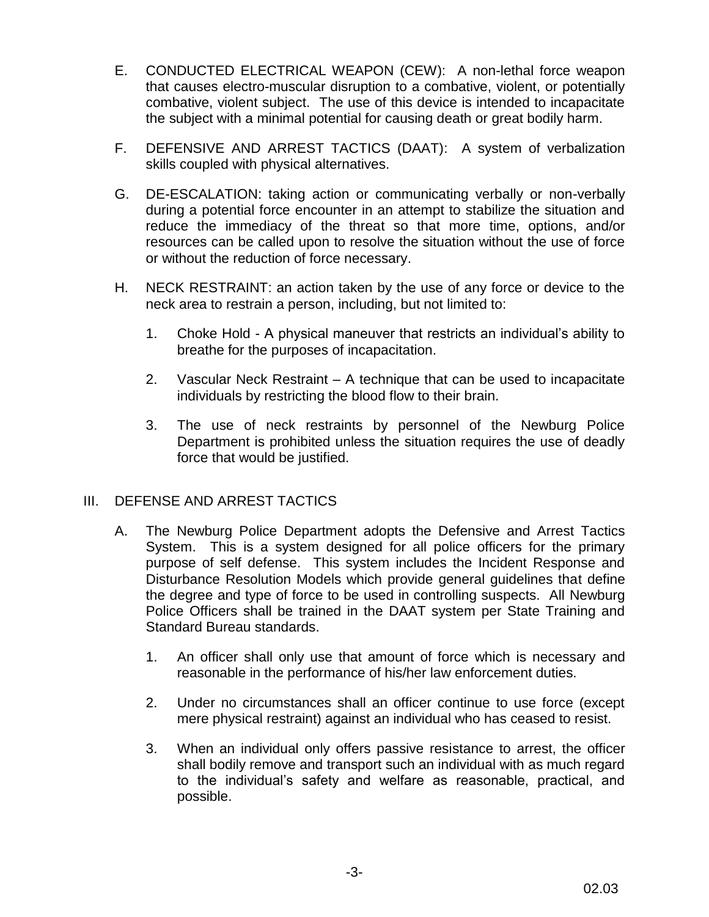- E. CONDUCTED ELECTRICAL WEAPON (CEW): A non-lethal force weapon that causes electro-muscular disruption to a combative, violent, or potentially combative, violent subject. The use of this device is intended to incapacitate the subject with a minimal potential for causing death or great bodily harm.
- F. DEFENSIVE AND ARREST TACTICS (DAAT): A system of verbalization skills coupled with physical alternatives.
- G. DE-ESCALATION: taking action or communicating verbally or non-verbally during a potential force encounter in an attempt to stabilize the situation and reduce the immediacy of the threat so that more time, options, and/or resources can be called upon to resolve the situation without the use of force or without the reduction of force necessary.
- H. NECK RESTRAINT: an action taken by the use of any force or device to the neck area to restrain a person, including, but not limited to:
	- 1. Choke Hold A physical maneuver that restricts an individual's ability to breathe for the purposes of incapacitation.
	- 2. Vascular Neck Restraint A technique that can be used to incapacitate individuals by restricting the blood flow to their brain.
	- 3. The use of neck restraints by personnel of the Newburg Police Department is prohibited unless the situation requires the use of deadly force that would be justified.

## III. DEFENSE AND ARREST TACTICS

- A. The Newburg Police Department adopts the Defensive and Arrest Tactics System. This is a system designed for all police officers for the primary purpose of self defense. This system includes the Incident Response and Disturbance Resolution Models which provide general guidelines that define the degree and type of force to be used in controlling suspects. All Newburg Police Officers shall be trained in the DAAT system per State Training and Standard Bureau standards.
	- 1. An officer shall only use that amount of force which is necessary and reasonable in the performance of his/her law enforcement duties.
	- 2. Under no circumstances shall an officer continue to use force (except mere physical restraint) against an individual who has ceased to resist.
	- 3. When an individual only offers passive resistance to arrest, the officer shall bodily remove and transport such an individual with as much regard to the individual's safety and welfare as reasonable, practical, and possible.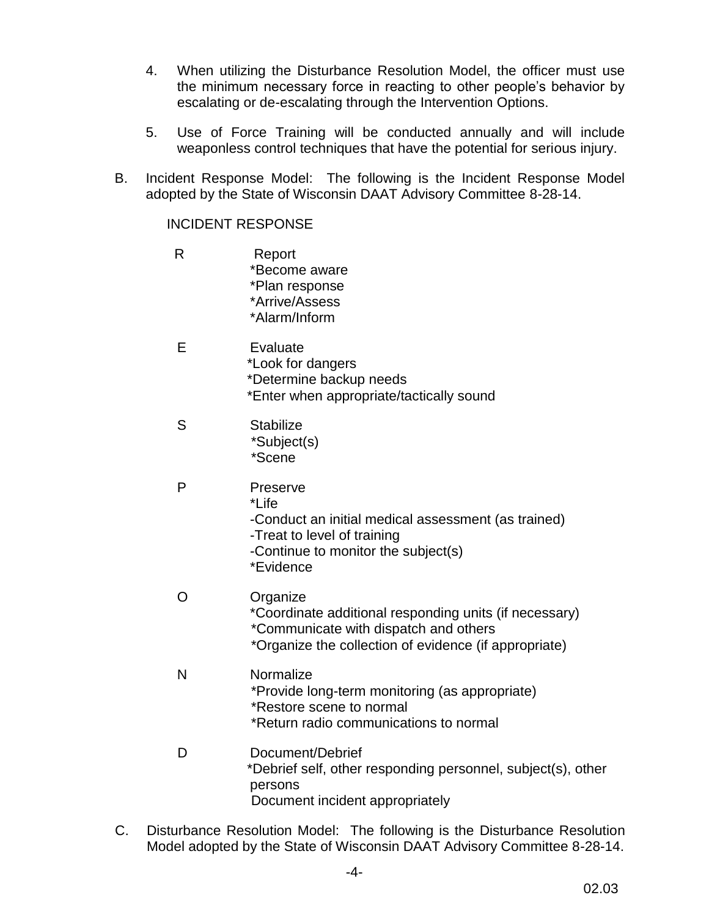- 4. When utilizing the Disturbance Resolution Model, the officer must use the minimum necessary force in reacting to other people's behavior by escalating or de-escalating through the Intervention Options.
- 5. Use of Force Training will be conducted annually and will include weaponless control techniques that have the potential for serious injury.
- B. Incident Response Model: The following is the Incident Response Model adopted by the State of Wisconsin DAAT Advisory Committee 8-28-14.

#### INCIDENT RESPONSE

- R Report \*Become aware \*Plan response \*Arrive/Assess \*Alarm/Inform E Evaluate \*Look for dangers \*Determine backup needs \*Enter when appropriate/tactically sound S Stabilize \*Subject(s) \*Scene P Preserve \*Life -Conduct an initial medical assessment (as trained) -Treat to level of training -Continue to monitor the subject(s) \*Evidence O Organize \*Coordinate additional responding units (if necessary) \*Communicate with dispatch and others \*Organize the collection of evidence (if appropriate) N Normalize \*Provide long-term monitoring (as appropriate) \*Restore scene to normal \*Return radio communications to normal D Document/Debrief \*Debrief self, other responding personnel, subject(s), other persons Document incident appropriately
- C. Disturbance Resolution Model: The following is the Disturbance Resolution Model adopted by the State of Wisconsin DAAT Advisory Committee 8-28-14.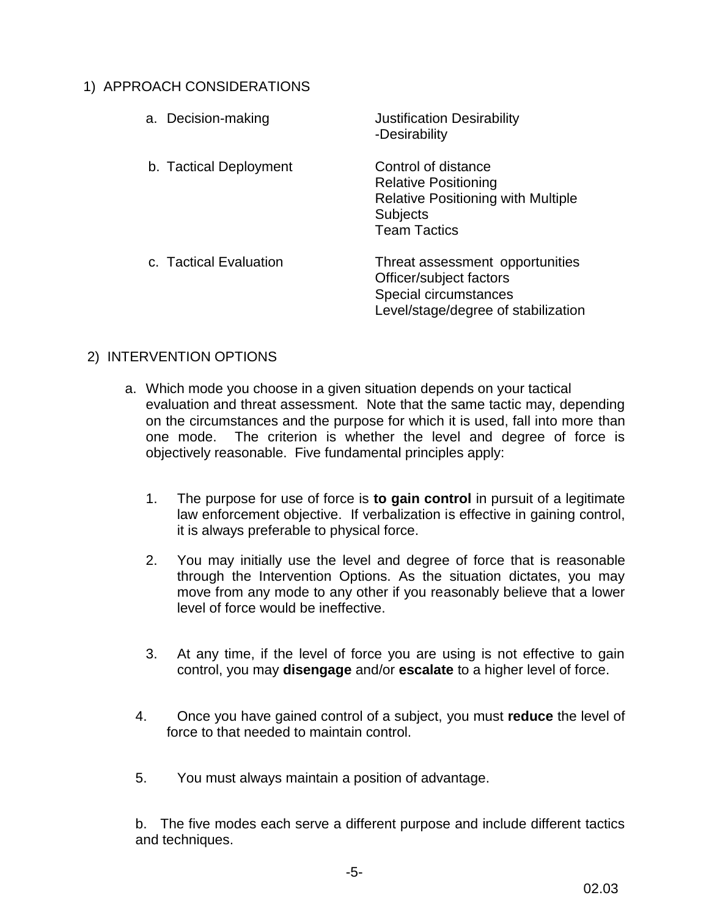# 1) APPROACH CONSIDERATIONS

| <b>Justification Desirability</b><br>-Desirability                                                                                 |
|------------------------------------------------------------------------------------------------------------------------------------|
| Control of distance<br><b>Relative Positioning</b><br><b>Relative Positioning with Multiple</b><br>Subjects<br><b>Team Tactics</b> |
| Threat assessment opportunities<br>Officer/subject factors<br>Special circumstances<br>Level/stage/degree of stabilization         |
|                                                                                                                                    |

# 2) INTERVENTION OPTIONS

- a. Which mode you choose in a given situation depends on your tactical evaluation and threat assessment. Note that the same tactic may, depending on the circumstances and the purpose for which it is used, fall into more than one mode. The criterion is whether the level and degree of force is objectively reasonable. Five fundamental principles apply:
	- 1. The purpose for use of force is **to gain control** in pursuit of a legitimate law enforcement objective. If verbalization is effective in gaining control, it is always preferable to physical force.
	- 2. You may initially use the level and degree of force that is reasonable through the Intervention Options. As the situation dictates, you may move from any mode to any other if you reasonably believe that a lower level of force would be ineffective.
	- 3. At any time, if the level of force you are using is not effective to gain control, you may **disengage** and/or **escalate** to a higher level of force.
	- 4. Once you have gained control of a subject, you must **reduce** the level of force to that needed to maintain control.
	- 5. You must always maintain a position of advantage.

b. The five modes each serve a different purpose and include different tactics and techniques.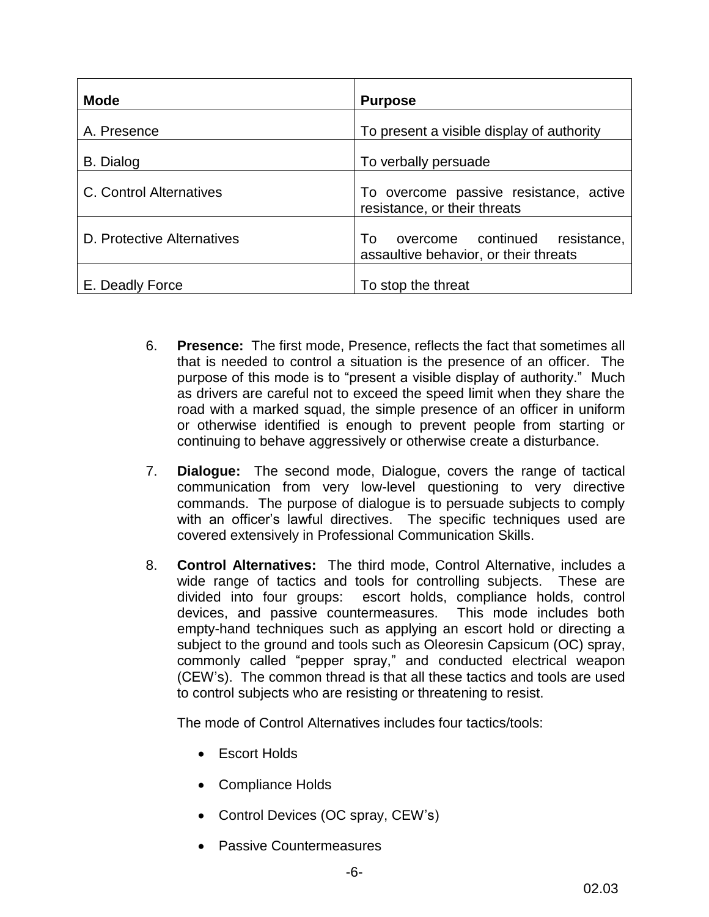| <b>Mode</b>                | <b>Purpose</b>                                                                   |
|----------------------------|----------------------------------------------------------------------------------|
| A. Presence                | To present a visible display of authority                                        |
| <b>B.</b> Dialog           | To verbally persuade                                                             |
| C. Control Alternatives    | To overcome passive resistance, active<br>resistance, or their threats           |
| D. Protective Alternatives | overcome continued<br>resistance.<br>To<br>assaultive behavior, or their threats |
| E. Deadly Force            | To stop the threat                                                               |

- 6. **Presence:** The first mode, Presence, reflects the fact that sometimes all that is needed to control a situation is the presence of an officer. The purpose of this mode is to "present a visible display of authority." Much as drivers are careful not to exceed the speed limit when they share the road with a marked squad, the simple presence of an officer in uniform or otherwise identified is enough to prevent people from starting or continuing to behave aggressively or otherwise create a disturbance.
- 7. **Dialogue:** The second mode, Dialogue, covers the range of tactical communication from very low-level questioning to very directive commands. The purpose of dialogue is to persuade subjects to comply with an officer's lawful directives. The specific techniques used are covered extensively in Professional Communication Skills.
- 8. **Control Alternatives:** The third mode, Control Alternative, includes a wide range of tactics and tools for controlling subjects. These are divided into four groups: escort holds, compliance holds, control devices, and passive countermeasures. This mode includes both empty-hand techniques such as applying an escort hold or directing a subject to the ground and tools such as Oleoresin Capsicum (OC) spray, commonly called "pepper spray," and conducted electrical weapon (CEW's). The common thread is that all these tactics and tools are used to control subjects who are resisting or threatening to resist.

The mode of Control Alternatives includes four tactics/tools:

- **Escort Holds**
- Compliance Holds
- Control Devices (OC spray, CEW's)
- Passive Countermeasures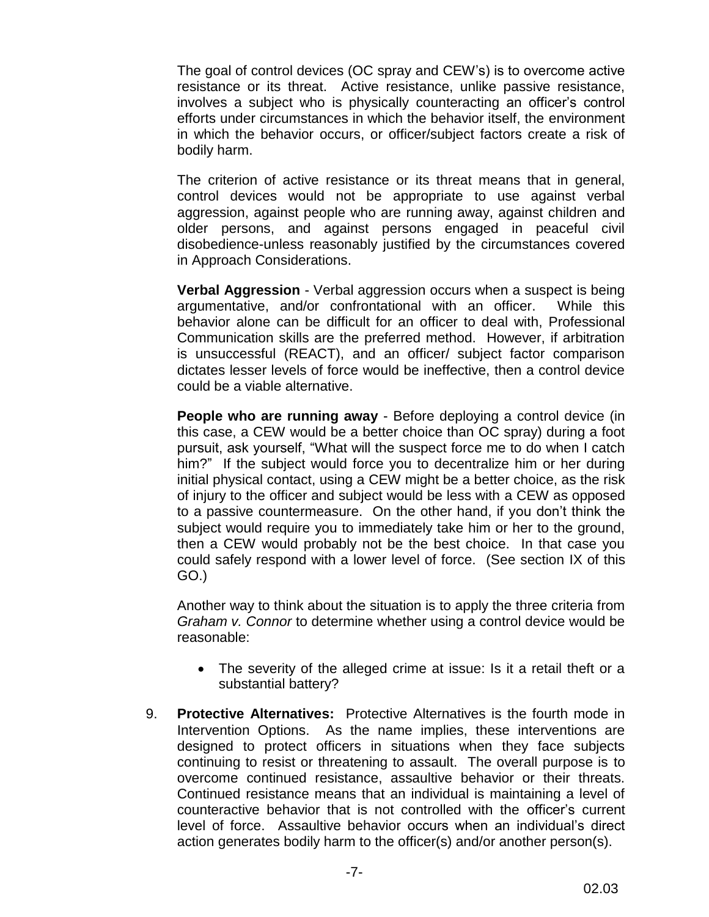The goal of control devices (OC spray and CEW's) is to overcome active resistance or its threat. Active resistance, unlike passive resistance, involves a subject who is physically counteracting an officer's control efforts under circumstances in which the behavior itself, the environment in which the behavior occurs, or officer/subject factors create a risk of bodily harm.

The criterion of active resistance or its threat means that in general, control devices would not be appropriate to use against verbal aggression, against people who are running away, against children and older persons, and against persons engaged in peaceful civil disobedience-unless reasonably justified by the circumstances covered in Approach Considerations.

**Verbal Aggression** - Verbal aggression occurs when a suspect is being argumentative, and/or confrontational with an officer. While this behavior alone can be difficult for an officer to deal with, Professional Communication skills are the preferred method. However, if arbitration is unsuccessful (REACT), and an officer/ subject factor comparison dictates lesser levels of force would be ineffective, then a control device could be a viable alternative.

**People who are running away** - Before deploying a control device (in this case, a CEW would be a better choice than OC spray) during a foot pursuit, ask yourself, "What will the suspect force me to do when I catch him?" If the subject would force you to decentralize him or her during initial physical contact, using a CEW might be a better choice, as the risk of injury to the officer and subject would be less with a CEW as opposed to a passive countermeasure. On the other hand, if you don't think the subject would require you to immediately take him or her to the ground, then a CEW would probably not be the best choice. In that case you could safely respond with a lower level of force. (See section IX of this GO.)

Another way to think about the situation is to apply the three criteria from *Graham v. Connor* to determine whether using a control device would be reasonable:

- The severity of the alleged crime at issue: Is it a retail theft or a substantial battery?
- 9. **Protective Alternatives:** Protective Alternatives is the fourth mode in Intervention Options. As the name implies, these interventions are designed to protect officers in situations when they face subjects continuing to resist or threatening to assault. The overall purpose is to overcome continued resistance, assaultive behavior or their threats. Continued resistance means that an individual is maintaining a level of counteractive behavior that is not controlled with the officer's current level of force. Assaultive behavior occurs when an individual's direct action generates bodily harm to the officer(s) and/or another person(s).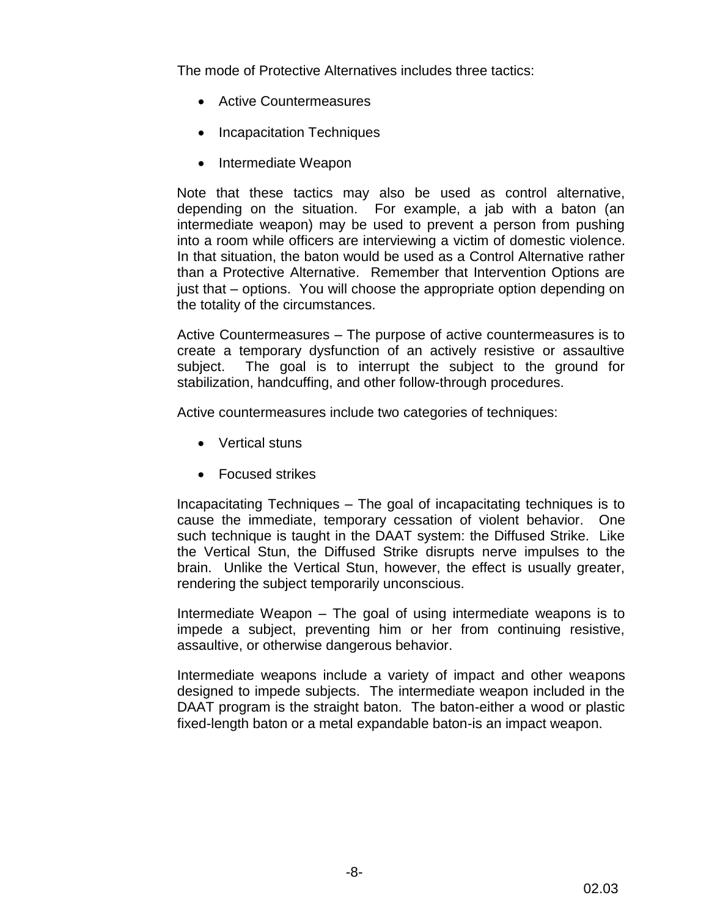The mode of Protective Alternatives includes three tactics:

- Active Countermeasures
- Incapacitation Techniques
- Intermediate Weapon

 Note that these tactics may also be used as control alternative, depending on the situation. For example, a jab with a baton (an intermediate weapon) may be used to prevent a person from pushing into a room while officers are interviewing a victim of domestic violence. In that situation, the baton would be used as a Control Alternative rather than a Protective Alternative. Remember that Intervention Options are just that – options. You will choose the appropriate option depending on the totality of the circumstances.

Active Countermeasures – The purpose of active countermeasures is to create a temporary dysfunction of an actively resistive or assaultive subject. The goal is to interrupt the subject to the ground for stabilization, handcuffing, and other follow-through procedures.

Active countermeasures include two categories of techniques:

- Vertical stuns
- **•** Focused strikes

 Incapacitating Techniques – The goal of incapacitating techniques is to cause the immediate, temporary cessation of violent behavior. One such technique is taught in the DAAT system: the Diffused Strike. Like the Vertical Stun, the Diffused Strike disrupts nerve impulses to the brain. Unlike the Vertical Stun, however, the effect is usually greater, rendering the subject temporarily unconscious.

Intermediate Weapon – The goal of using intermediate weapons is to impede a subject, preventing him or her from continuing resistive, assaultive, or otherwise dangerous behavior.

Intermediate weapons include a variety of impact and other weapons designed to impede subjects. The intermediate weapon included in the DAAT program is the straight baton. The baton-either a wood or plastic fixed-length baton or a metal expandable baton-is an impact weapon.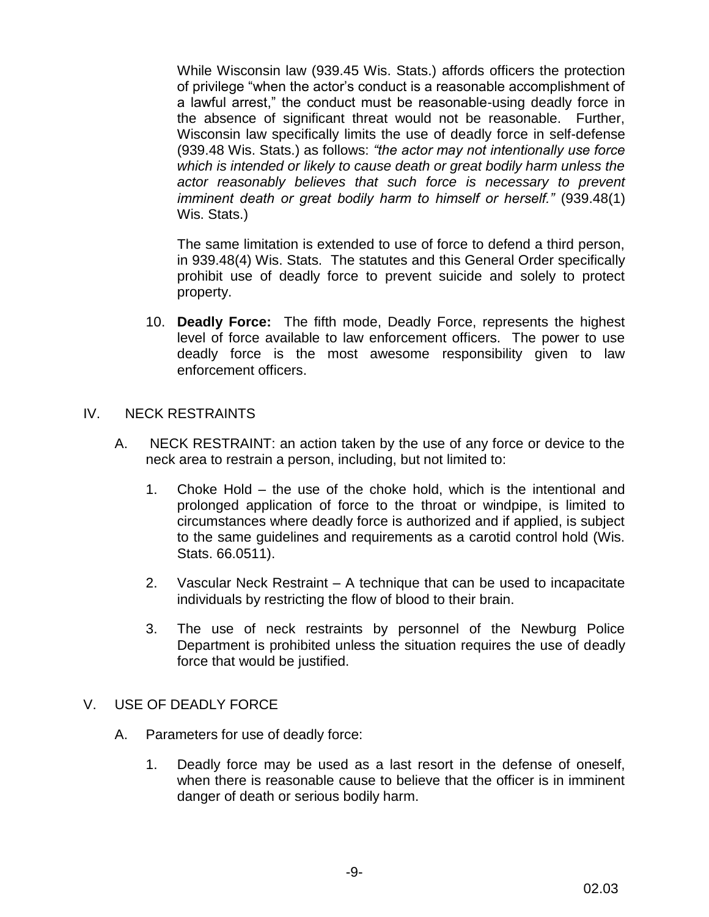While Wisconsin law (939.45 Wis. Stats.) affords officers the protection of privilege "when the actor's conduct is a reasonable accomplishment of a lawful arrest," the conduct must be reasonable-using deadly force in the absence of significant threat would not be reasonable. Further, Wisconsin law specifically limits the use of deadly force in self-defense (939.48 Wis. Stats.) as follows: *"the actor may not intentionally use force which is intended or likely to cause death or great bodily harm unless the actor reasonably believes that such force is necessary to prevent imminent death or great bodily harm to himself or herself."* (939.48(1) Wis. Stats.)

The same limitation is extended to use of force to defend a third person, in 939.48(4) Wis. Stats. The statutes and this General Order specifically prohibit use of deadly force to prevent suicide and solely to protect property.

10. **Deadly Force:** The fifth mode, Deadly Force, represents the highest level of force available to law enforcement officers. The power to use deadly force is the most awesome responsibility given to law enforcement officers.

## IV. NECK RESTRAINTS

- A. NECK RESTRAINT: an action taken by the use of any force or device to the neck area to restrain a person, including, but not limited to:
	- 1. Choke Hold the use of the choke hold, which is the intentional and prolonged application of force to the throat or windpipe, is limited to circumstances where deadly force is authorized and if applied, is subject to the same guidelines and requirements as a carotid control hold (Wis. Stats. 66.0511).
	- 2. Vascular Neck Restraint A technique that can be used to incapacitate individuals by restricting the flow of blood to their brain.
	- 3. The use of neck restraints by personnel of the Newburg Police Department is prohibited unless the situation requires the use of deadly force that would be justified.

## V. USE OF DEADLY FORCE

- A. Parameters for use of deadly force:
	- 1. Deadly force may be used as a last resort in the defense of oneself, when there is reasonable cause to believe that the officer is in imminent danger of death or serious bodily harm.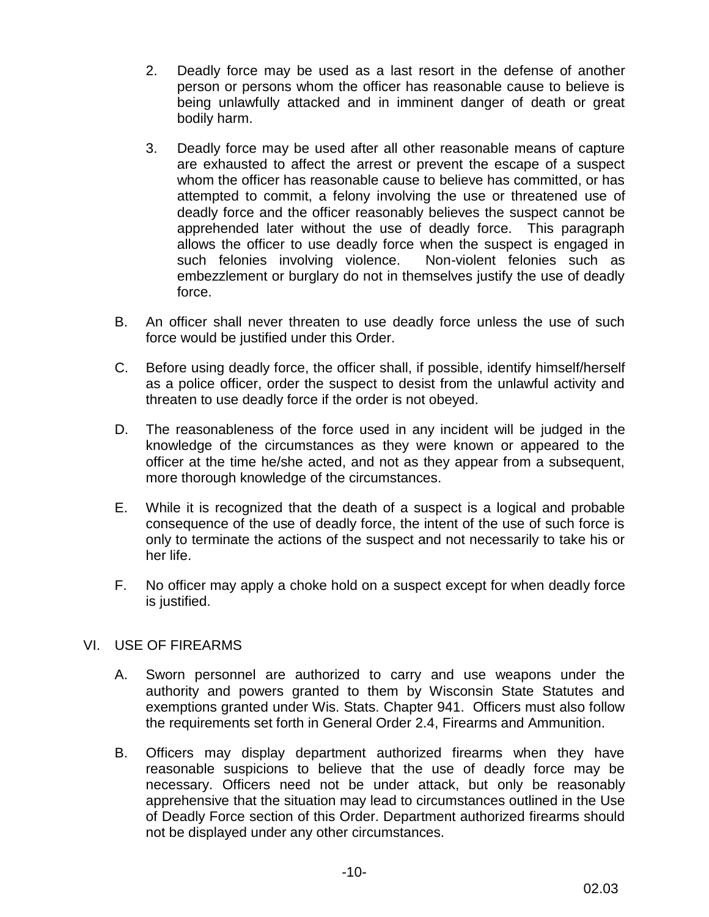- 2. Deadly force may be used as a last resort in the defense of another person or persons whom the officer has reasonable cause to believe is being unlawfully attacked and in imminent danger of death or great bodily harm.
- 3. Deadly force may be used after all other reasonable means of capture are exhausted to affect the arrest or prevent the escape of a suspect whom the officer has reasonable cause to believe has committed, or has attempted to commit, a felony involving the use or threatened use of deadly force and the officer reasonably believes the suspect cannot be apprehended later without the use of deadly force. This paragraph allows the officer to use deadly force when the suspect is engaged in such felonies involving violence. Non-violent felonies such as embezzlement or burglary do not in themselves justify the use of deadly force.
- B. An officer shall never threaten to use deadly force unless the use of such force would be justified under this Order.
- C. Before using deadly force, the officer shall, if possible, identify himself/herself as a police officer, order the suspect to desist from the unlawful activity and threaten to use deadly force if the order is not obeyed.
- D. The reasonableness of the force used in any incident will be judged in the knowledge of the circumstances as they were known or appeared to the officer at the time he/she acted, and not as they appear from a subsequent, more thorough knowledge of the circumstances.
- E. While it is recognized that the death of a suspect is a logical and probable consequence of the use of deadly force, the intent of the use of such force is only to terminate the actions of the suspect and not necessarily to take his or her life.
- F. No officer may apply a choke hold on a suspect except for when deadly force is justified.

# VI. USE OF FIREARMS

- A. Sworn personnel are authorized to carry and use weapons under the authority and powers granted to them by Wisconsin State Statutes and exemptions granted under Wis. Stats. Chapter 941. Officers must also follow the requirements set forth in General Order 2.4, Firearms and Ammunition.
- B. Officers may display department authorized firearms when they have reasonable suspicions to believe that the use of deadly force may be necessary. Officers need not be under attack, but only be reasonably apprehensive that the situation may lead to circumstances outlined in the Use of Deadly Force section of this Order. Department authorized firearms should not be displayed under any other circumstances.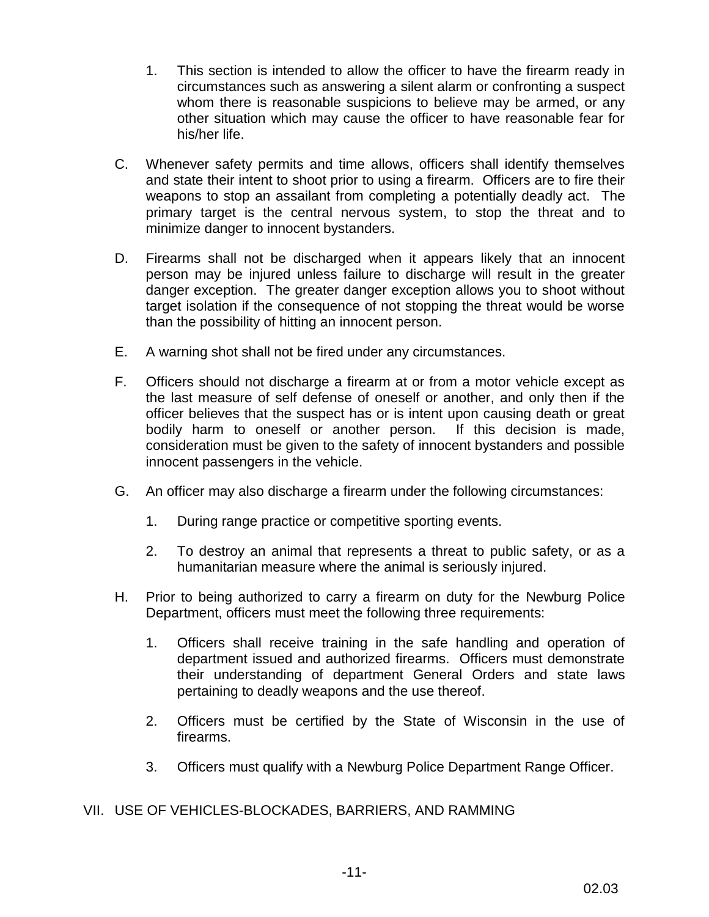- 1. This section is intended to allow the officer to have the firearm ready in circumstances such as answering a silent alarm or confronting a suspect whom there is reasonable suspicions to believe may be armed, or any other situation which may cause the officer to have reasonable fear for his/her life.
- C. Whenever safety permits and time allows, officers shall identify themselves and state their intent to shoot prior to using a firearm. Officers are to fire their weapons to stop an assailant from completing a potentially deadly act. The primary target is the central nervous system, to stop the threat and to minimize danger to innocent bystanders.
- D. Firearms shall not be discharged when it appears likely that an innocent person may be injured unless failure to discharge will result in the greater danger exception. The greater danger exception allows you to shoot without target isolation if the consequence of not stopping the threat would be worse than the possibility of hitting an innocent person.
- E. A warning shot shall not be fired under any circumstances.
- F. Officers should not discharge a firearm at or from a motor vehicle except as the last measure of self defense of oneself or another, and only then if the officer believes that the suspect has or is intent upon causing death or great bodily harm to oneself or another person. If this decision is made, consideration must be given to the safety of innocent bystanders and possible innocent passengers in the vehicle.
- G. An officer may also discharge a firearm under the following circumstances:
	- 1. During range practice or competitive sporting events.
	- 2. To destroy an animal that represents a threat to public safety, or as a humanitarian measure where the animal is seriously injured.
- H. Prior to being authorized to carry a firearm on duty for the Newburg Police Department, officers must meet the following three requirements:
	- 1. Officers shall receive training in the safe handling and operation of department issued and authorized firearms. Officers must demonstrate their understanding of department General Orders and state laws pertaining to deadly weapons and the use thereof.
	- 2. Officers must be certified by the State of Wisconsin in the use of firearms.
	- 3. Officers must qualify with a Newburg Police Department Range Officer.

# VII. USE OF VEHICLES-BLOCKADES, BARRIERS, AND RAMMING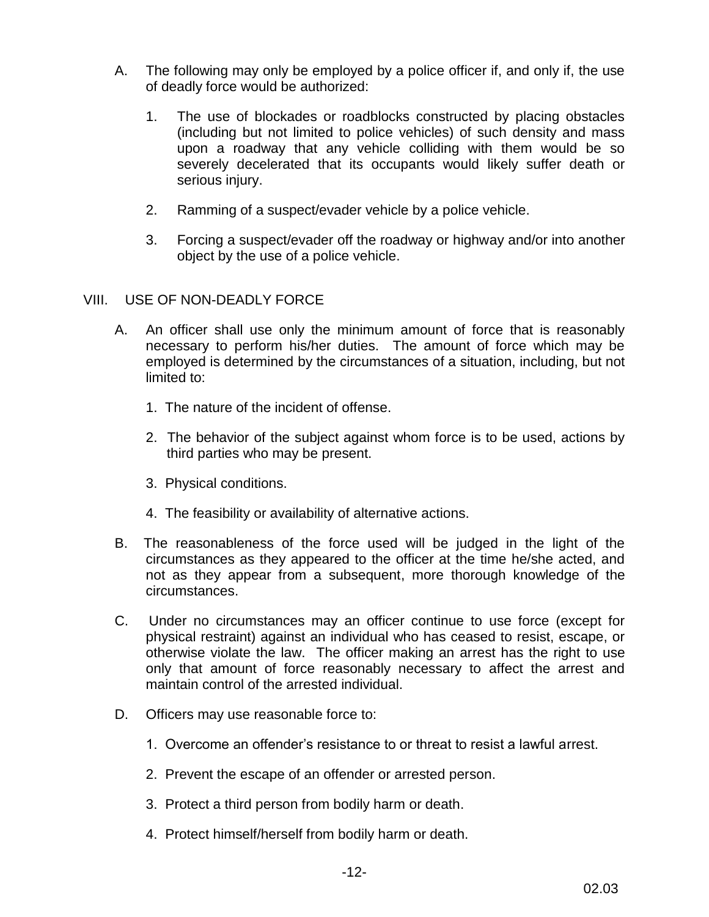- A. The following may only be employed by a police officer if, and only if, the use of deadly force would be authorized:
	- 1. The use of blockades or roadblocks constructed by placing obstacles (including but not limited to police vehicles) of such density and mass upon a roadway that any vehicle colliding with them would be so severely decelerated that its occupants would likely suffer death or serious injury.
	- 2. Ramming of a suspect/evader vehicle by a police vehicle.
	- 3. Forcing a suspect/evader off the roadway or highway and/or into another object by the use of a police vehicle.

## VIII. USE OF NON-DEADLY FORCE

- A. An officer shall use only the minimum amount of force that is reasonably necessary to perform his/her duties. The amount of force which may be employed is determined by the circumstances of a situation, including, but not limited to:
	- 1. The nature of the incident of offense.
	- 2. The behavior of the subject against whom force is to be used, actions by third parties who may be present.
	- 3. Physical conditions.
	- 4. The feasibility or availability of alternative actions.
- B. The reasonableness of the force used will be judged in the light of the circumstances as they appeared to the officer at the time he/she acted, and not as they appear from a subsequent, more thorough knowledge of the circumstances.
- C. Under no circumstances may an officer continue to use force (except for physical restraint) against an individual who has ceased to resist, escape, or otherwise violate the law. The officer making an arrest has the right to use only that amount of force reasonably necessary to affect the arrest and maintain control of the arrested individual.
- D. Officers may use reasonable force to:
	- 1. Overcome an offender's resistance to or threat to resist a lawful arrest.
	- 2. Prevent the escape of an offender or arrested person.
	- 3. Protect a third person from bodily harm or death.
	- 4. Protect himself/herself from bodily harm or death.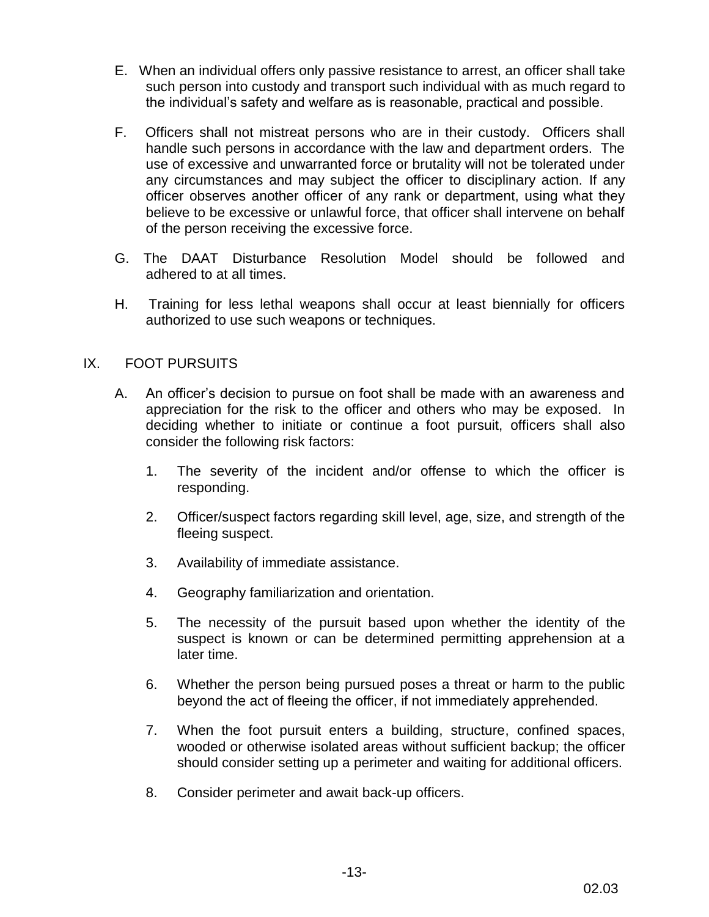- E. When an individual offers only passive resistance to arrest, an officer shall take such person into custody and transport such individual with as much regard to the individual's safety and welfare as is reasonable, practical and possible.
- F. Officers shall not mistreat persons who are in their custody. Officers shall handle such persons in accordance with the law and department orders. The use of excessive and unwarranted force or brutality will not be tolerated under any circumstances and may subject the officer to disciplinary action. If any officer observes another officer of any rank or department, using what they believe to be excessive or unlawful force, that officer shall intervene on behalf of the person receiving the excessive force.
- G. The DAAT Disturbance Resolution Model should be followed and adhered to at all times.
- H. Training for less lethal weapons shall occur at least biennially for officers authorized to use such weapons or techniques.

## IX. FOOT PURSUITS

- A. An officer's decision to pursue on foot shall be made with an awareness and appreciation for the risk to the officer and others who may be exposed. In deciding whether to initiate or continue a foot pursuit, officers shall also consider the following risk factors:
	- 1. The severity of the incident and/or offense to which the officer is responding.
	- 2. Officer/suspect factors regarding skill level, age, size, and strength of the fleeing suspect.
	- 3. Availability of immediate assistance.
	- 4. Geography familiarization and orientation.
	- 5. The necessity of the pursuit based upon whether the identity of the suspect is known or can be determined permitting apprehension at a later time.
	- 6. Whether the person being pursued poses a threat or harm to the public beyond the act of fleeing the officer, if not immediately apprehended.
	- 7. When the foot pursuit enters a building, structure, confined spaces, wooded or otherwise isolated areas without sufficient backup; the officer should consider setting up a perimeter and waiting for additional officers.
	- 8. Consider perimeter and await back-up officers.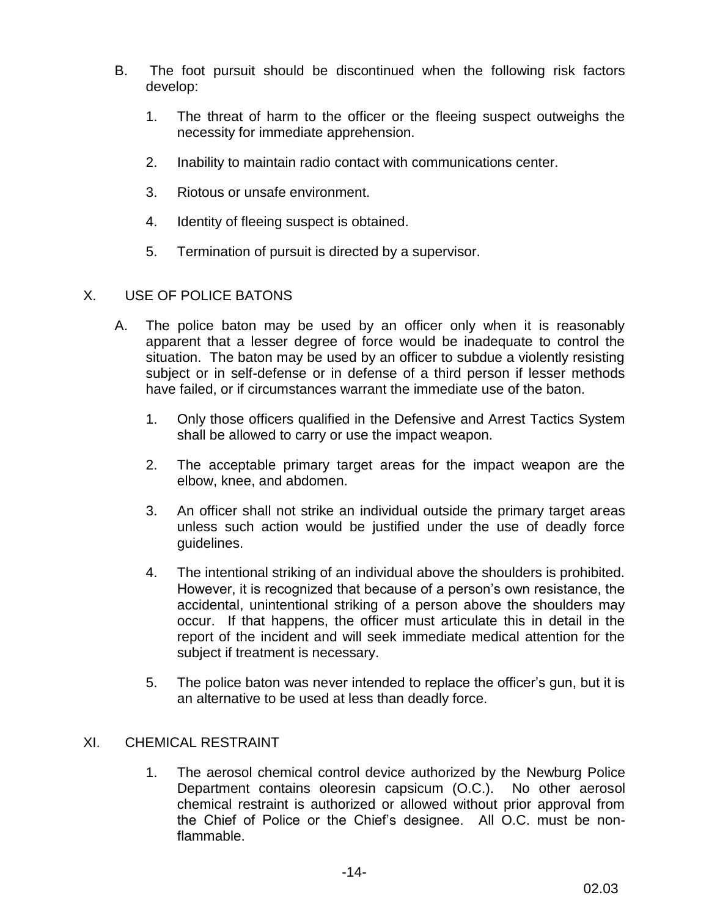- B. The foot pursuit should be discontinued when the following risk factors develop:
	- 1. The threat of harm to the officer or the fleeing suspect outweighs the necessity for immediate apprehension.
	- 2. Inability to maintain radio contact with communications center.
	- 3. Riotous or unsafe environment.
	- 4. Identity of fleeing suspect is obtained.
	- 5. Termination of pursuit is directed by a supervisor.

## X. USE OF POLICE BATONS

- A. The police baton may be used by an officer only when it is reasonably apparent that a lesser degree of force would be inadequate to control the situation. The baton may be used by an officer to subdue a violently resisting subject or in self-defense or in defense of a third person if lesser methods have failed, or if circumstances warrant the immediate use of the baton.
	- 1. Only those officers qualified in the Defensive and Arrest Tactics System shall be allowed to carry or use the impact weapon.
	- 2. The acceptable primary target areas for the impact weapon are the elbow, knee, and abdomen.
	- 3. An officer shall not strike an individual outside the primary target areas unless such action would be justified under the use of deadly force guidelines.
	- 4. The intentional striking of an individual above the shoulders is prohibited. However, it is recognized that because of a person's own resistance, the accidental, unintentional striking of a person above the shoulders may occur. If that happens, the officer must articulate this in detail in the report of the incident and will seek immediate medical attention for the subject if treatment is necessary.
	- 5. The police baton was never intended to replace the officer's gun, but it is an alternative to be used at less than deadly force.

## XI. CHEMICAL RESTRAINT

1. The aerosol chemical control device authorized by the Newburg Police Department contains oleoresin capsicum (O.C.). No other aerosol chemical restraint is authorized or allowed without prior approval from the Chief of Police or the Chief's designee. All O.C. must be nonflammable.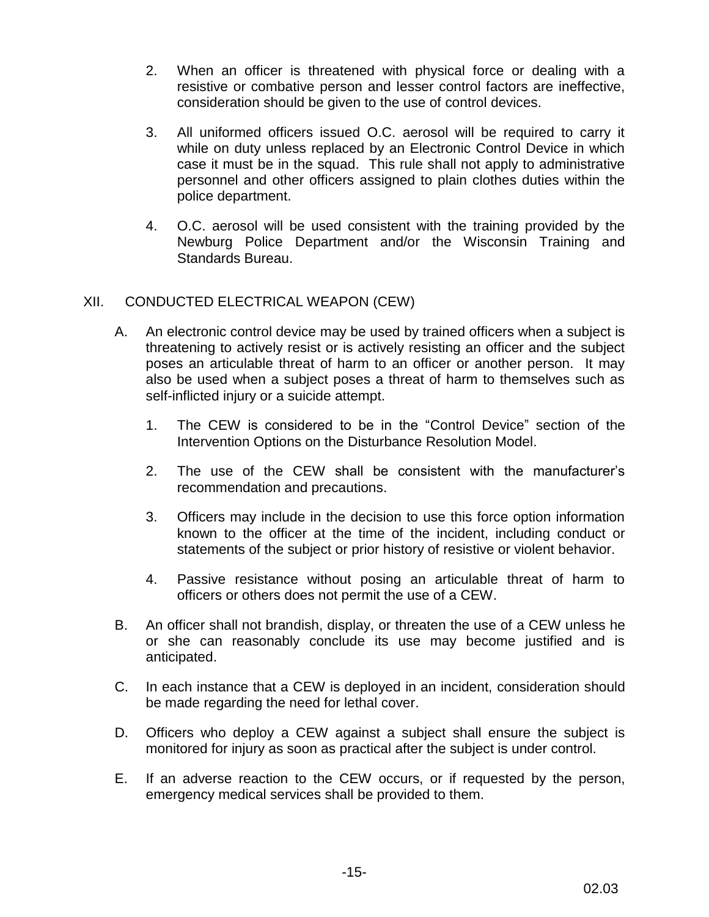- 2. When an officer is threatened with physical force or dealing with a resistive or combative person and lesser control factors are ineffective, consideration should be given to the use of control devices.
- 3. All uniformed officers issued O.C. aerosol will be required to carry it while on duty unless replaced by an Electronic Control Device in which case it must be in the squad. This rule shall not apply to administrative personnel and other officers assigned to plain clothes duties within the police department.
- 4. O.C. aerosol will be used consistent with the training provided by the Newburg Police Department and/or the Wisconsin Training and Standards Bureau.

# XII. CONDUCTED ELECTRICAL WEAPON (CEW)

- A. An electronic control device may be used by trained officers when a subject is threatening to actively resist or is actively resisting an officer and the subject poses an articulable threat of harm to an officer or another person. It may also be used when a subject poses a threat of harm to themselves such as self-inflicted injury or a suicide attempt.
	- 1. The CEW is considered to be in the "Control Device" section of the Intervention Options on the Disturbance Resolution Model.
	- 2. The use of the CEW shall be consistent with the manufacturer's recommendation and precautions.
	- 3. Officers may include in the decision to use this force option information known to the officer at the time of the incident, including conduct or statements of the subject or prior history of resistive or violent behavior.
	- 4. Passive resistance without posing an articulable threat of harm to officers or others does not permit the use of a CEW.
- B. An officer shall not brandish, display, or threaten the use of a CEW unless he or she can reasonably conclude its use may become justified and is anticipated.
- C. In each instance that a CEW is deployed in an incident, consideration should be made regarding the need for lethal cover.
- D. Officers who deploy a CEW against a subject shall ensure the subject is monitored for injury as soon as practical after the subject is under control.
- E. If an adverse reaction to the CEW occurs, or if requested by the person, emergency medical services shall be provided to them.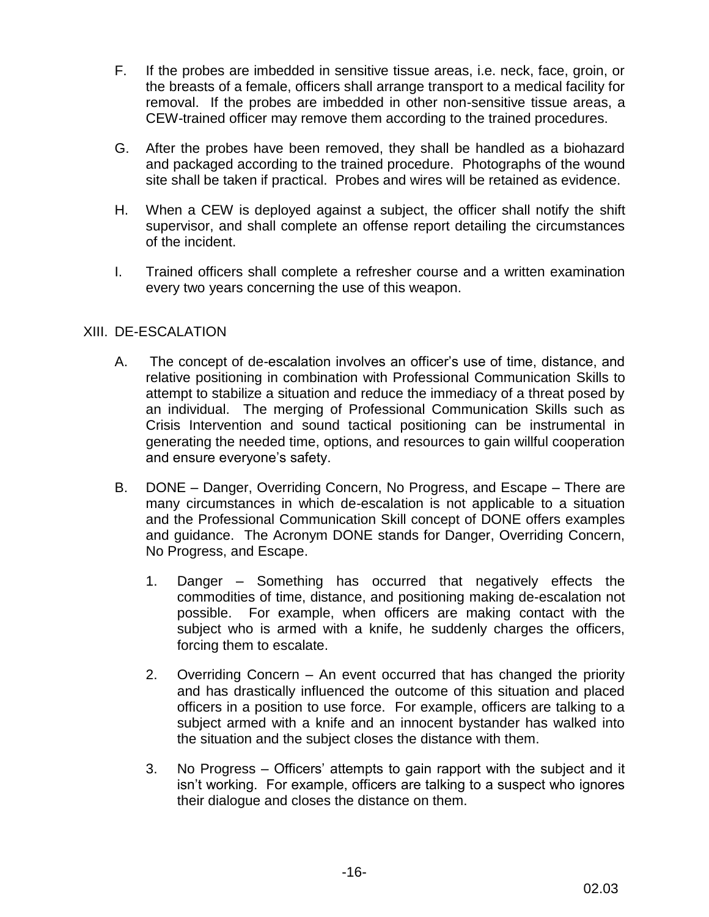- F. If the probes are imbedded in sensitive tissue areas, i.e. neck, face, groin, or the breasts of a female, officers shall arrange transport to a medical facility for removal. If the probes are imbedded in other non-sensitive tissue areas, a CEW-trained officer may remove them according to the trained procedures.
- G. After the probes have been removed, they shall be handled as a biohazard and packaged according to the trained procedure. Photographs of the wound site shall be taken if practical. Probes and wires will be retained as evidence.
- H. When a CEW is deployed against a subject, the officer shall notify the shift supervisor, and shall complete an offense report detailing the circumstances of the incident.
- I. Trained officers shall complete a refresher course and a written examination every two years concerning the use of this weapon.

## XIII. DE-ESCALATION

- A. The concept of de-escalation involves an officer's use of time, distance, and relative positioning in combination with Professional Communication Skills to attempt to stabilize a situation and reduce the immediacy of a threat posed by an individual. The merging of Professional Communication Skills such as Crisis Intervention and sound tactical positioning can be instrumental in generating the needed time, options, and resources to gain willful cooperation and ensure everyone's safety.
- B. DONE Danger, Overriding Concern, No Progress, and Escape There are many circumstances in which de-escalation is not applicable to a situation and the Professional Communication Skill concept of DONE offers examples and guidance. The Acronym DONE stands for Danger, Overriding Concern, No Progress, and Escape.
	- 1. Danger Something has occurred that negatively effects the commodities of time, distance, and positioning making de-escalation not possible. For example, when officers are making contact with the subject who is armed with a knife, he suddenly charges the officers, forcing them to escalate.
	- 2. Overriding Concern An event occurred that has changed the priority and has drastically influenced the outcome of this situation and placed officers in a position to use force. For example, officers are talking to a subject armed with a knife and an innocent bystander has walked into the situation and the subject closes the distance with them.
	- 3. No Progress Officers' attempts to gain rapport with the subject and it isn't working. For example, officers are talking to a suspect who ignores their dialogue and closes the distance on them.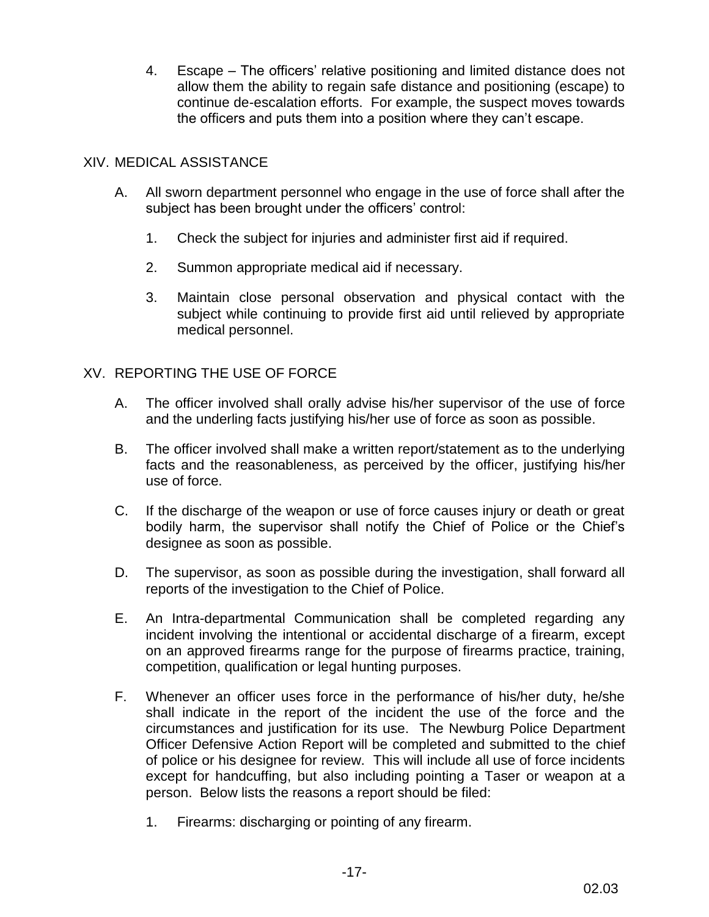4. Escape – The officers' relative positioning and limited distance does not allow them the ability to regain safe distance and positioning (escape) to continue de-escalation efforts. For example, the suspect moves towards the officers and puts them into a position where they can't escape.

## XIV. MEDICAL ASSISTANCE

- A. All sworn department personnel who engage in the use of force shall after the subject has been brought under the officers' control:
	- 1. Check the subject for injuries and administer first aid if required.
	- 2. Summon appropriate medical aid if necessary.
	- 3. Maintain close personal observation and physical contact with the subject while continuing to provide first aid until relieved by appropriate medical personnel.

# XV. REPORTING THE USE OF FORCE

- A. The officer involved shall orally advise his/her supervisor of the use of force and the underling facts justifying his/her use of force as soon as possible.
- B. The officer involved shall make a written report/statement as to the underlying facts and the reasonableness, as perceived by the officer, justifying his/her use of force.
- C. If the discharge of the weapon or use of force causes injury or death or great bodily harm, the supervisor shall notify the Chief of Police or the Chief's designee as soon as possible.
- D. The supervisor, as soon as possible during the investigation, shall forward all reports of the investigation to the Chief of Police.
- E. An Intra-departmental Communication shall be completed regarding any incident involving the intentional or accidental discharge of a firearm, except on an approved firearms range for the purpose of firearms practice, training, competition, qualification or legal hunting purposes.
- F. Whenever an officer uses force in the performance of his/her duty, he/she shall indicate in the report of the incident the use of the force and the circumstances and justification for its use. The Newburg Police Department Officer Defensive Action Report will be completed and submitted to the chief of police or his designee for review. This will include all use of force incidents except for handcuffing, but also including pointing a Taser or weapon at a person. Below lists the reasons a report should be filed:
	- 1. Firearms: discharging or pointing of any firearm.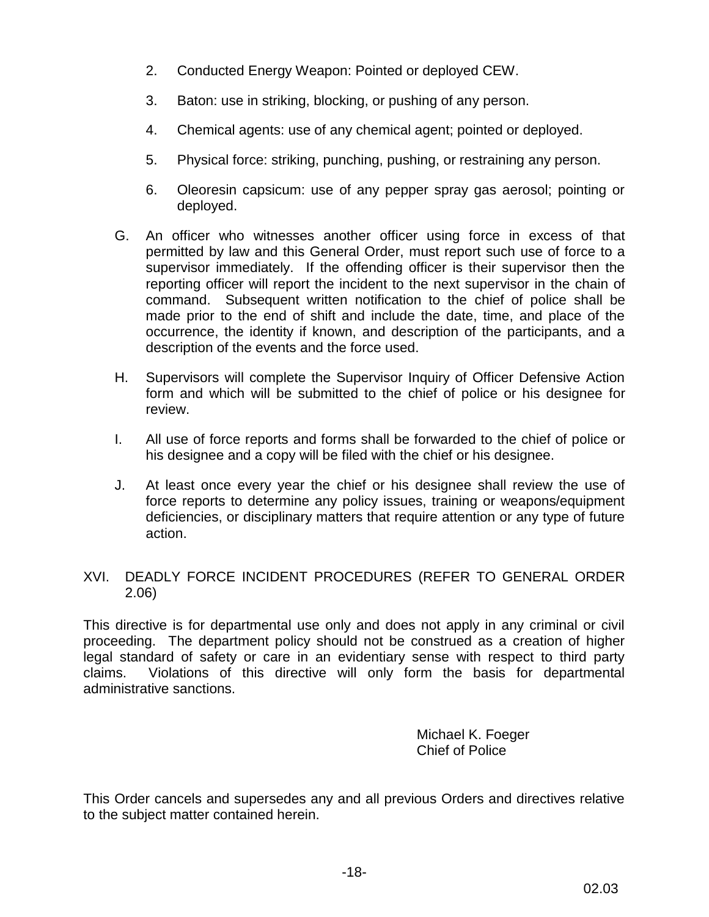- 2. Conducted Energy Weapon: Pointed or deployed CEW.
- 3. Baton: use in striking, blocking, or pushing of any person.
- 4. Chemical agents: use of any chemical agent; pointed or deployed.
- 5. Physical force: striking, punching, pushing, or restraining any person.
- 6. Oleoresin capsicum: use of any pepper spray gas aerosol; pointing or deployed.
- G. An officer who witnesses another officer using force in excess of that permitted by law and this General Order, must report such use of force to a supervisor immediately. If the offending officer is their supervisor then the reporting officer will report the incident to the next supervisor in the chain of command. Subsequent written notification to the chief of police shall be made prior to the end of shift and include the date, time, and place of the occurrence, the identity if known, and description of the participants, and a description of the events and the force used.
- H. Supervisors will complete the Supervisor Inquiry of Officer Defensive Action form and which will be submitted to the chief of police or his designee for review.
- I. All use of force reports and forms shall be forwarded to the chief of police or his designee and a copy will be filed with the chief or his designee.
- J. At least once every year the chief or his designee shall review the use of force reports to determine any policy issues, training or weapons/equipment deficiencies, or disciplinary matters that require attention or any type of future action.

# XVI. DEADLY FORCE INCIDENT PROCEDURES (REFER TO GENERAL ORDER 2.06)

This directive is for departmental use only and does not apply in any criminal or civil proceeding. The department policy should not be construed as a creation of higher legal standard of safety or care in an evidentiary sense with respect to third party claims. Violations of this directive will only form the basis for departmental administrative sanctions.

> Michael K. Foeger Chief of Police

This Order cancels and supersedes any and all previous Orders and directives relative to the subject matter contained herein.